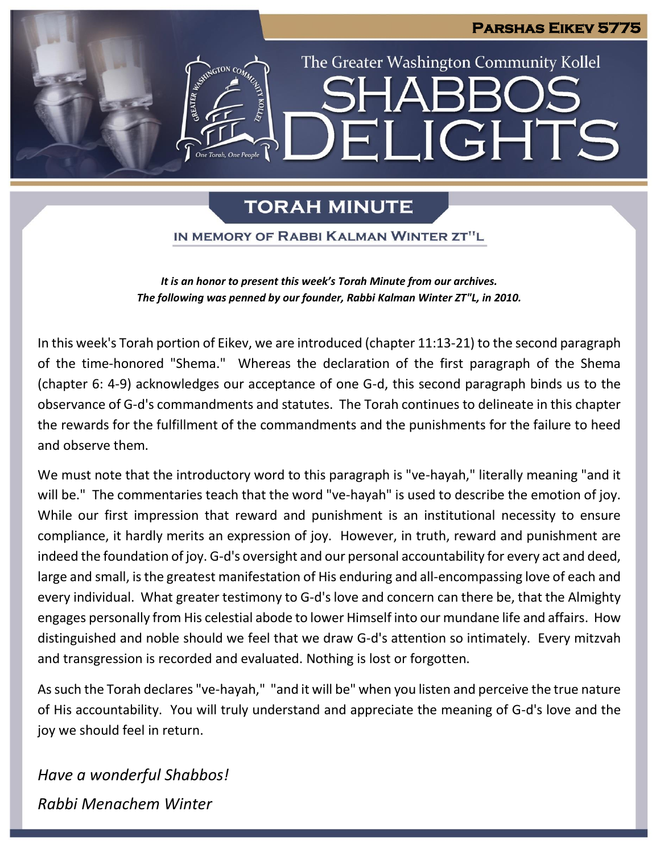### **Parshas Eikev 5775**

# The Greater Washington Community Kollel ELIGHTS

## **TORAH MINUTE**

One Torah. One People

IN MEMORY OF RABBI KALMAN WINTER ZT"L

*It is an honor to present this week's Torah Minute from our archives. The following was penned by our founder, Rabbi Kalman Winter ZT"L, in 2010.*

In this week's Torah portion of Eikev, we are introduced (chapter 11:13-21) to the second paragraph of the time-honored "Shema." Whereas the declaration of the first paragraph of the Shema (chapter 6: 4-9) acknowledges our acceptance of one G-d, this second paragraph binds us to the observance of G-d's commandments and statutes. The Torah continues to delineate in this chapter the rewards for the fulfillment of the commandments and the punishments for the failure to heed and observe them.

We must note that the introductory word to this paragraph is "ve-hayah," literally meaning "and it will be." The commentaries teach that the word "ve-hayah" is used to describe the emotion of joy. While our first impression that reward and punishment is an institutional necessity to ensure compliance, it hardly merits an expression of joy. However, in truth, reward and punishment are indeed the foundation of joy. G-d's oversight and our personal accountability for every act and deed, large and small, is the greatest manifestation of His enduring and all-encompassing love of each and every individual. What greater testimony to G-d's love and concern can there be, that the Almighty engages personally from His celestial abode to lower Himself into our mundane life and affairs. How distinguished and noble should we feel that we draw G-d's attention so intimately. Every mitzvah and transgression is recorded and evaluated. Nothing is lost or forgotten.

As such the Torah declares "ve-hayah," "and it will be" when you listen and perceive the true nature of His accountability. You will truly understand and appreciate the meaning of G-d's love and the joy we should feel in return.

*Have a wonderful Shabbos! Rabbi Menachem Winter*